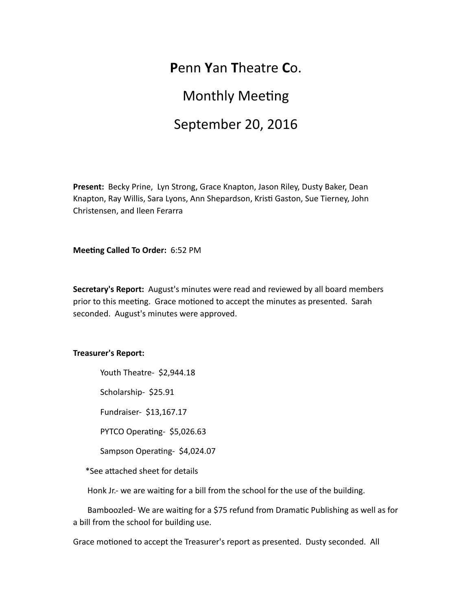## **P**enn **Y**an **T**heatre **C**o.

# **Monthly Meeting** September 20, 2016

Present: Becky Prine, Lyn Strong, Grace Knapton, Jason Riley, Dusty Baker, Dean Knapton, Ray Willis, Sara Lyons, Ann Shepardson, Kristi Gaston, Sue Tierney, John Christensen, and Ileen Ferarra

**Meeting Called To Order:** 6:52 PM

**Secretary's Report:** August's minutes were read and reviewed by all board members prior to this meeting. Grace motioned to accept the minutes as presented. Sarah seconded. August's minutes were approved.

#### **Treasurer's Report:**

Youth Theatre- \$2,944.18

Scholarship- \$25.91

Fundraiser- \$13,167.17

PYTCO Operating- \$5,026.63

Sampson Operating- \$4,024.07

\*See attached sheet for details

Honk Jr.- we are waiting for a bill from the school for the use of the building.

Bamboozled- We are waiting for a \$75 refund from Dramatic Publishing as well as for a bill from the school for building use.

Grace motioned to accept the Treasurer's report as presented. Dusty seconded. All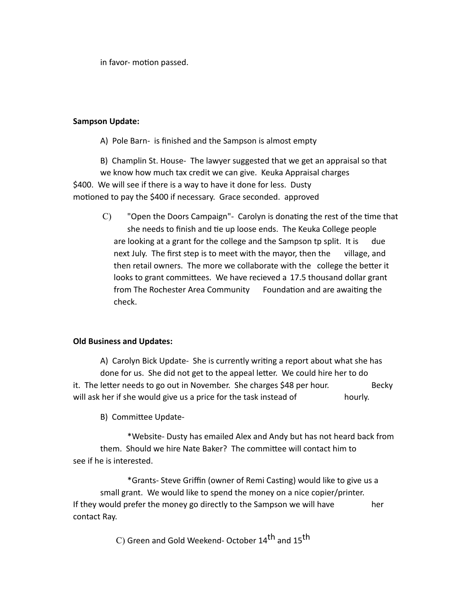in favor- motion passed.

#### **Sampson Update:**

A) Pole Barn- is finished and the Sampson is almost empty

B) Champlin St. House- The lawyer suggested that we get an appraisal so that we know how much tax credit we can give. Keuka Appraisal charges \$400. We will see if there is a way to have it done for less. Dusty motioned to pay the \$400 if necessary. Grace seconded. approved

 $C$ ) "Open the Doors Campaign"- Carolyn is donating the rest of the time that she needs to finish and tie up loose ends. The Keuka College people are looking at a grant for the college and the Sampson tp split. It is due next July. The first step is to meet with the mayor, then the village, and then retail owners. The more we collaborate with the college the better it looks to grant committees. We have recieved a 17.5 thousand dollar grant from The Rochester Area Community Foundation and are awaiting the check.

### **Old Business and Updates:**

A) Carolyn Bick Update- She is currently writing a report about what she has done for us. She did not get to the appeal letter. We could hire her to do it. The letter needs to go out in November. She charges \$48 per hour. Becky will ask her if she would give us a price for the task instead of hourly.

B) Committee Update-

\*Website- Dusty has emailed Alex and Andy but has not heard back from them. Should we hire Nate Baker? The committee will contact him to see if he is interested.

\*Grants- Steve Griffin (owner of Remi Casting) would like to give us a small grant. We would like to spend the money on a nice copier/printer. If they would prefer the money go directly to the Sampson we will have her contact Ray.

C) Green and Gold Weekend- October 14<sup>th</sup> and 15<sup>th</sup>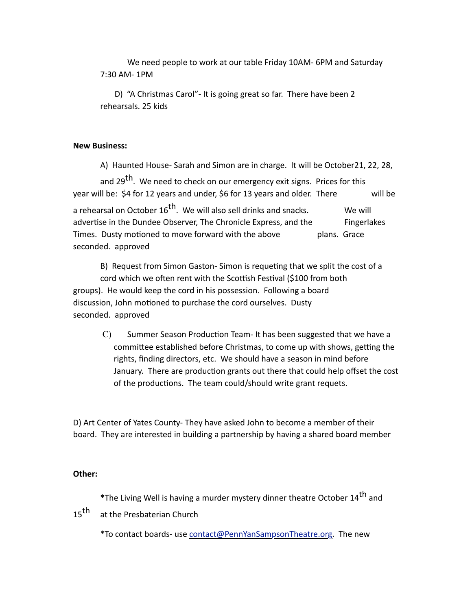We need people to work at our table Friday 10AM- 6PM and Saturday 7:30 AM- 1PM

D) "A Christmas Carol"- It is going great so far. There have been 2 rehearsals. 25 kids

#### **New Business:**

A) Haunted House- Sarah and Simon are in charge. It will be October21, 22, 28,

and 29<sup>th</sup>. We need to check on our emergency exit signs. Prices for this year will be: \$4 for 12 years and under, \$6 for 13 years and older. There will be a rehearsal on October  $16^{th}$ . We will also sell drinks and snacks. We will advertise in the Dundee Observer, The Chronicle Express, and the Fingerlakes Times. Dusty motioned to move forward with the above plans. Grace seconded. approved

B) Request from Simon Gaston- Simon is requeting that we split the cost of a cord which we often rent with the Scottish Festival (\$100 from both groups). He would keep the cord in his possession. Following a board discussion, John motioned to purchase the cord ourselves. Dusty seconded. approved

C) Summer Season Production Team- It has been suggested that we have a committee established before Christmas, to come up with shows, getting the rights, finding directors, etc. We should have a season in mind before January. There are production grants out there that could help offset the cost of the productions. The team could/should write grant requets.

D) Art Center of Yates County- They have asked John to become a member of their board. They are interested in building a partnership by having a shared board member

#### **Other:**

\*The Living Well is having a murder mystery dinner theatre October 14<sup>th</sup> and

15<sup>th</sup> at the Presbaterian Church

\*To contact boards- use [contact@PennYanSampsonTheatre.org](mailto:contact@PennYanSampsonTheatre.org). The new